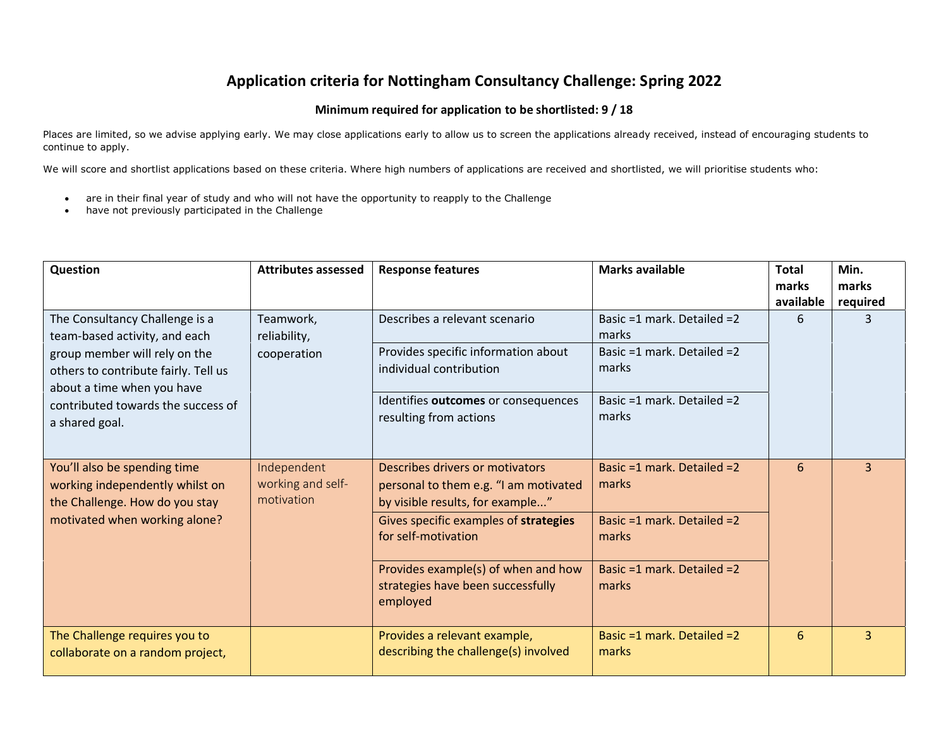## **Application criteria for Nottingham Consultancy Challenge: Spring 2022**

## **Minimum required for application to be shortlisted: 9 / 18**

Places are limited, so we advise applying early. We may close applications early to allow us to screen the applications already received, instead of encouraging students to continue to apply.

We will score and shortlist applications based on these criteria. Where high numbers of applications are received and shortlisted, we will prioritise students who:

- are in their final year of study and who will not have the opportunity to reapply to the Challenge
- have not previously participated in the Challenge

| Question                                                                                                                                                                                                                       | <b>Attributes assessed</b>                     | <b>Response features</b>                                                                                                                                                                                                                                             | <b>Marks available</b>                                                                                            | <b>Total</b><br>marks<br>available | Min.<br>marks<br>required |
|--------------------------------------------------------------------------------------------------------------------------------------------------------------------------------------------------------------------------------|------------------------------------------------|----------------------------------------------------------------------------------------------------------------------------------------------------------------------------------------------------------------------------------------------------------------------|-------------------------------------------------------------------------------------------------------------------|------------------------------------|---------------------------|
| The Consultancy Challenge is a<br>team-based activity, and each<br>group member will rely on the<br>others to contribute fairly. Tell us<br>about a time when you have<br>contributed towards the success of<br>a shared goal. | Teamwork,<br>reliability,<br>cooperation       | Describes a relevant scenario<br>Provides specific information about<br>individual contribution<br>Identifies outcomes or consequences<br>resulting from actions                                                                                                     | Basic =1 mark. Detailed =2<br>marks<br>Basic =1 mark. Detailed =2<br>marks<br>Basic =1 mark. Detailed =2<br>marks | 6                                  | 3                         |
| You'll also be spending time<br>working independently whilst on<br>the Challenge. How do you stay<br>motivated when working alone?                                                                                             | Independent<br>working and self-<br>motivation | Describes drivers or motivators<br>personal to them e.g. "I am motivated<br>by visible results, for example"<br>Gives specific examples of strategies<br>for self-motivation<br>Provides example(s) of when and how<br>strategies have been successfully<br>employed | Basic =1 mark. Detailed =2<br>marks<br>Basic =1 mark. Detailed =2<br>marks<br>Basic =1 mark. Detailed =2<br>marks | 6                                  | 3                         |
| The Challenge requires you to<br>collaborate on a random project,                                                                                                                                                              |                                                | Provides a relevant example,<br>describing the challenge(s) involved                                                                                                                                                                                                 | Basic =1 mark. Detailed =2<br>marks                                                                               | 6                                  | $\overline{3}$            |